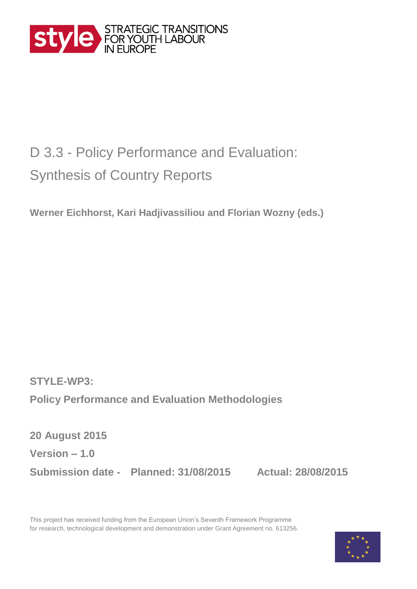

## D 3.3 - Policy Performance and Evaluation: Synthesis of Country Reports

**Werner Eichhorst, Kari Hadjivassiliou and Florian Wozny (eds.)**

**STYLE-WP3: Policy Performance and Evaluation Methodologies** 

**20 August 2015 Version – 1.0 Submission date - Planned: 31/08/2015 Actual: 28/08/2015**

This project has received funding from the European Union's Seventh Framework Programme for research, technological development and demonstration under Grant Agreement no. 613256.

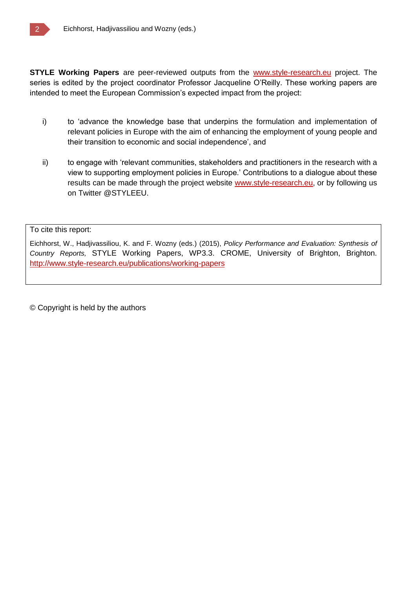**STYLE Working Papers** are peer-reviewed outputs from the [www.style-research.eu](http://www.style-research.eu/) project. The series is edited by the project coordinator Professor Jacqueline O'Reilly. These working papers are intended to meet the European Commission's expected impact from the project:

- i) to 'advance the knowledge base that underpins the formulation and implementation of relevant policies in Europe with the aim of enhancing the employment of young people and their transition to economic and social independence', and
- ii) to engage with 'relevant communities, stakeholders and practitioners in the research with a view to supporting employment policies in Europe.' Contributions to a dialogue about these results can be made through the project website [www.style-research.eu,](http://www.style-research.eu/) or by following us on Twitter @STYLEEU.

To cite this report:

Eichhorst, W., Hadjivassiliou, K. and F. Wozny (eds.) (2015), *Policy Performance and Evaluation: Synthesis of Country Reports,* STYLE Working Papers, WP3.3. CROME, University of Brighton, Brighton. <http://www.style-research.eu/publications/working-papers>

© Copyright is held by the authors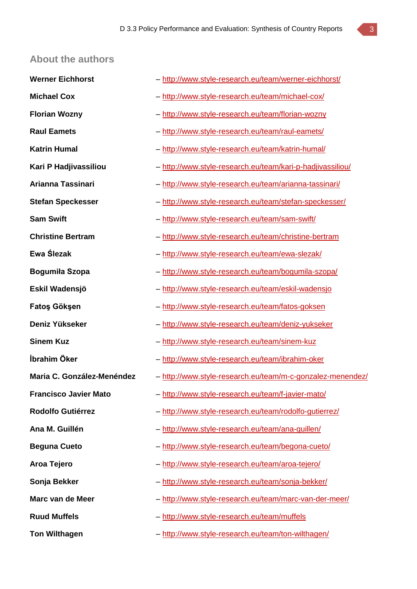#### **About the authors**

| <b>Werner Eichhorst</b>      | - http://www.style-research.eu/team/werner-eichhorst/      |
|------------------------------|------------------------------------------------------------|
| <b>Michael Cox</b>           | - http://www.style-research.eu/team/michael-cox/           |
| <b>Florian Wozny</b>         | - http://www.style-research.eu/team/florian-wozny          |
| <b>Raul Eamets</b>           | - http://www.style-research.eu/team/raul-eamets/           |
| <b>Katrin Humal</b>          | - http://www.style-research.eu/team/katrin-humal/          |
| Kari P Hadjivassiliou        | - http://www.style-research.eu/team/kari-p-hadjivassiliou/ |
| Arianna Tassinari            | - http://www.style-research.eu/team/arianna-tassinari/     |
| <b>Stefan Speckesser</b>     | - http://www.style-research.eu/team/stefan-speckesser/     |
| <b>Sam Swift</b>             | - http://www.style-research.eu/team/sam-swift/             |
| <b>Christine Bertram</b>     | - http://www.style-research.eu/team/christine-bertram      |
| Ewa Ślezak                   | - http://www.style-research.eu/team/ewa-slezak/            |
| Bogumiła Szopa               | - http://www.style-research.eu/team/bogumila-szopa/        |
| Eskil Wadensjö               | - http://www.style-research.eu/team/eskil-wadensjo         |
| Fatos Göksen                 | - http://www.style-research.eu/team/fatos-goksen           |
| Deniz Yükseker               | - http://www.style-research.eu/team/deniz-yukseker         |
| <b>Sinem Kuz</b>             | - http://www.style-research.eu/team/sinem-kuz              |
| İbrahim Öker                 | - http://www.style-research.eu/team/ibrahim-oker           |
| Maria C. González-Menéndez   | - http://www.style-research.eu/team/m-c-gonzalez-menendez/ |
| <b>Francisco Javier Mato</b> | - http://www.style-research.eu/team/f-javier-mato/         |
| <b>Rodolfo Gutiérrez</b>     | - http://www.style-research.eu/team/rodolfo-gutierrez/     |
| Ana M. Guillén               | - http://www.style-research.eu/team/ana-guillen/           |
| <b>Beguna Cueto</b>          | - http://www.style-research.eu/team/begona-cueto/          |
| Aroa Tejero                  | - http://www.style-research.eu/team/aroa-tejero/           |
| Sonja Bekker                 | - http://www.style-research.eu/team/sonja-bekker/          |
| Marc van de Meer             | - http://www.style-research.eu/team/marc-van-der-meer/     |
| <b>Ruud Muffels</b>          | - http://www.style-research.eu/team/muffels                |
| <b>Ton Wilthagen</b>         | - http://www.style-research.eu/team/ton-wilthagen/         |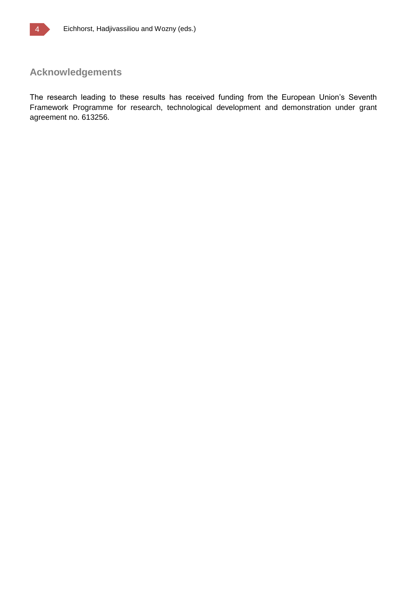### **Acknowledgements**

The research leading to these results has received funding from the European Union's Seventh Framework Programme for research, technological development and demonstration under grant agreement no. 613256.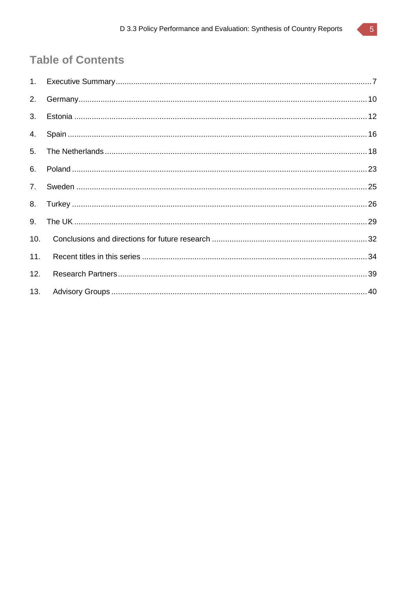### **Table of Contents**

| 10. |  |
|-----|--|
| 11. |  |
| 12. |  |
| 13. |  |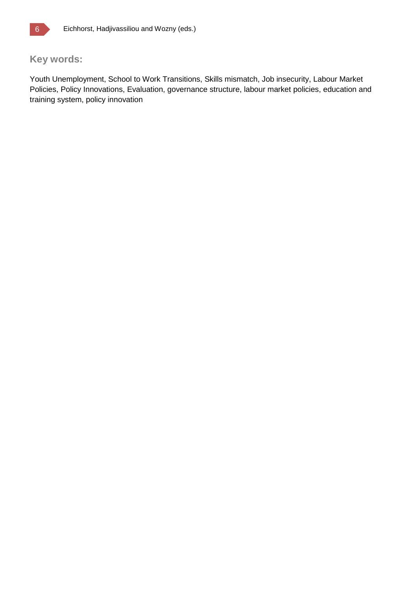

### **Key words:**

Youth Unemployment, School to Work Transitions, Skills mismatch, Job insecurity, Labour Market Policies, Policy Innovations, Evaluation, governance structure, labour market policies, education and training system, policy innovation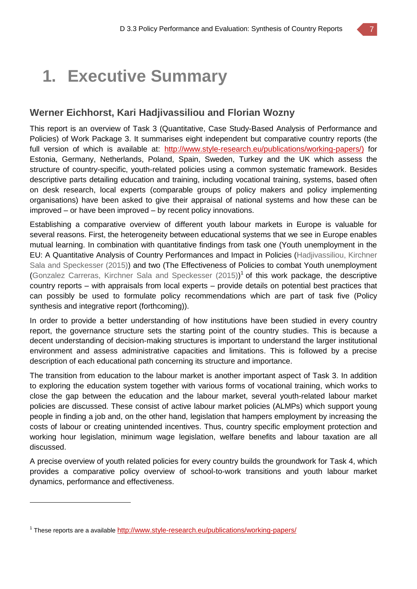# **1. Executive Summary**

#### **Werner Eichhorst, Kari Hadjivassiliou and Florian Wozny**

This report is an overview of Task 3 (Quantitative, Case Study-Based Analysis of Performance and Policies) of Work Package 3. It summarises eight independent but comparative country reports (the full version of which is available at: [http://www.style-research.eu/publications/working-papers/\)](http://www.style-research.eu/publications/working-papers/) for Estonia, Germany, Netherlands, Poland, Spain, Sweden, Turkey and the UK which assess the structure of country-specific, youth-related policies using a common systematic framework. Besides descriptive parts detailing education and training, including vocational training, systems, based often on desk research, local experts (comparable groups of policy makers and policy implementing organisations) have been asked to give their appraisal of national systems and how these can be improved – or have been improved – by recent policy innovations.

Establishing a comparative overview of different youth labour markets in Europe is valuable for several reasons. First, the heterogeneity between educational systems that we see in Europe enables mutual learning. In combination with quantitative findings from task one (Youth unemployment in the EU: A Quantitative Analysis of Country Performances and Impact in Policies (Hadjivassiliou, Kirchner Sala and Speckesser (2015)) and two (The Effectiveness of Policies to combat Youth unemployment (Gonzalez Carreras, Kirchner Sala and Speckesser (2015))<sup>1</sup> of this work package, the descriptive country reports – with appraisals from local experts – provide details on potential best practices that can possibly be used to formulate policy recommendations which are part of task five (Policy synthesis and integrative report (forthcoming)).

In order to provide a better understanding of how institutions have been studied in every country report, the governance structure sets the starting point of the country studies. This is because a decent understanding of decision-making structures is important to understand the larger institutional environment and assess administrative capacities and limitations. This is followed by a precise description of each educational path concerning its structure and importance.

The transition from education to the labour market is another important aspect of Task 3. In addition to exploring the education system together with various forms of vocational training, which works to close the gap between the education and the labour market, several youth-related labour market policies are discussed. These consist of active labour market policies (ALMPs) which support young people in finding a job and, on the other hand, legislation that hampers employment by increasing the costs of labour or creating unintended incentives. Thus, country specific employment protection and working hour legislation, minimum wage legislation, welfare benefits and labour taxation are all discussed.

A precise overview of youth related policies for every country builds the groundwork for Task 4, which provides a comparative policy overview of school-to-work transitions and youth labour market dynamics, performance and effectiveness.

 $\overline{a}$ 

<sup>&</sup>lt;sup>1</sup> These reports are a available <http://www.style-research.eu/publications/working-papers/>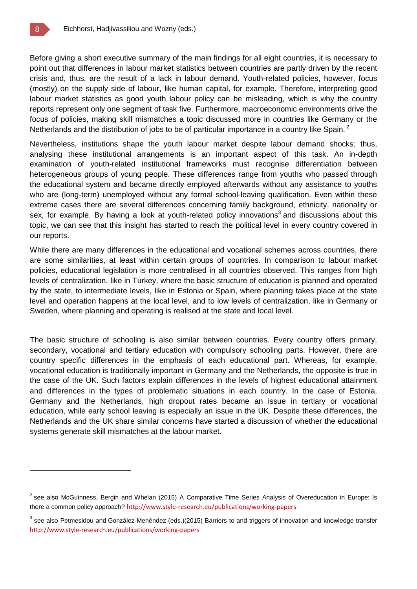Before giving a short executive summary of the main findings for all eight countries, it is necessary to point out that differences in labour market statistics between countries are partly driven by the recent crisis and, thus, are the result of a lack in labour demand. Youth-related policies, however, focus (mostly) on the supply side of labour, like human capital, for example. Therefore, interpreting good labour market statistics as good youth labour policy can be misleading, which is why the country reports represent only one segment of task five. Furthermore, macroeconomic environments drive the focus of policies, making skill mismatches a topic discussed more in countries like Germany or the Netherlands and the distribution of jobs to be of particular importance in a country like Spain.<sup>2</sup>

Nevertheless, institutions shape the youth labour market despite labour demand shocks; thus, analysing these institutional arrangements is an important aspect of this task. An in-depth examination of youth-related institutional frameworks must recognise differentiation between heterogeneous groups of young people. These differences range from youths who passed through the educational system and became directly employed afterwards without any assistance to youths who are (long-term) unemployed without any formal school-leaving qualification. Even within these extreme cases there are several differences concerning family background, ethnicity, nationality or sex, for example. By having a look at youth-related policy innovations<sup>3</sup> and discussions about this topic, we can see that this insight has started to reach the political level in every country covered in our reports.

While there are many differences in the educational and vocational schemes across countries, there are some similarities, at least within certain groups of countries. In comparison to labour market policies, educational legislation is more centralised in all countries observed. This ranges from high levels of centralization, like in Turkey, where the basic structure of education is planned and operated by the state, to intermediate levels, like in Estonia or Spain, where planning takes place at the state level and operation happens at the local level, and to low levels of centralization, like in Germany or Sweden, where planning and operating is realised at the state and local level.

The basic structure of schooling is also similar between countries. Every country offers primary, secondary, vocational and tertiary education with compulsory schooling parts. However, there are country specific differences in the emphasis of each educational part. Whereas, for example, vocational education is traditionally important in Germany and the Netherlands, the opposite is true in the case of the UK. Such factors explain differences in the levels of highest educational attainment and differences in the types of problematic situations in each country. In the case of Estonia, Germany and the Netherlands, high dropout rates became an issue in tertiary or vocational education, while early school leaving is especially an issue in the UK. Despite these differences, the Netherlands and the UK share similar concerns have started a discussion of whether the educational systems generate skill mismatches at the labour market.

 $^2$  see also McGuinness, Bergin and Whelan (2015) A Comparative Time Series Analysis of Overeducation in Europe: Is there a common policy approach? <http://www.style-research.eu/publications/working-papers>

<sup>&</sup>lt;sup>3</sup> see also Petmesidou and González-Menéndez (eds.)(2015) Barriers to and triggers of innovation and knowledge transfer <http://www.style-research.eu/publications/working-papers>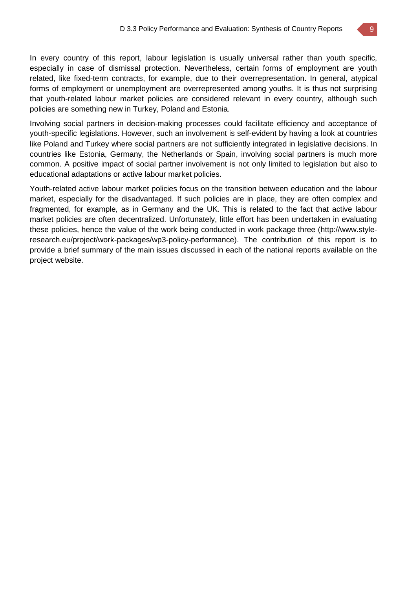In every country of this report, labour legislation is usually universal rather than youth specific, especially in case of dismissal protection. Nevertheless, certain forms of employment are youth related, like fixed-term contracts, for example, due to their overrepresentation. In general, atypical forms of employment or unemployment are overrepresented among youths. It is thus not surprising that youth-related labour market policies are considered relevant in every country, although such policies are something new in Turkey, Poland and Estonia.

Involving social partners in decision-making processes could facilitate efficiency and acceptance of youth-specific legislations. However, such an involvement is self-evident by having a look at countries like Poland and Turkey where social partners are not sufficiently integrated in legislative decisions. In countries like Estonia, Germany, the Netherlands or Spain, involving social partners is much more common. A positive impact of social partner involvement is not only limited to legislation but also to educational adaptations or active labour market policies.

Youth-related active labour market policies focus on the transition between education and the labour market, especially for the disadvantaged. If such policies are in place, they are often complex and fragmented, for example, as in Germany and the UK. This is related to the fact that active labour market policies are often decentralized. Unfortunately, little effort has been undertaken in evaluating these policies, hence the value of the work being conducted in work package three (http://www.styleresearch.eu/project/work-packages/wp3-policy-performance). The contribution of this report is to provide a brief summary of the main issues discussed in each of the national reports available on the project website.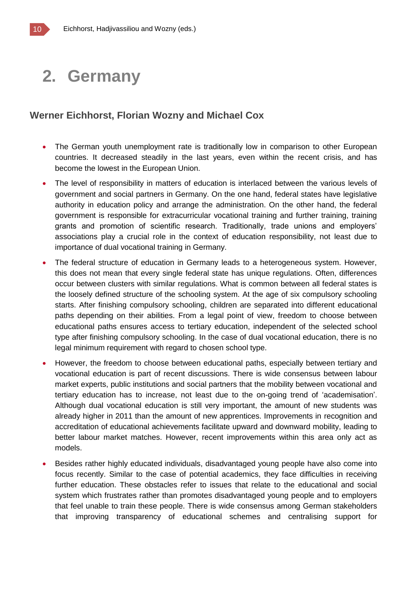### **2. Germany**

#### **Werner Eichhorst, Florian Wozny and Michael Cox**

- The German youth unemployment rate is traditionally low in comparison to other European countries. It decreased steadily in the last years, even within the recent crisis, and has become the lowest in the European Union.
- The level of responsibility in matters of education is interlaced between the various levels of government and social partners in Germany. On the one hand, federal states have legislative authority in education policy and arrange the administration. On the other hand, the federal government is responsible for extracurricular vocational training and further training, training grants and promotion of scientific research. Traditionally, trade unions and employers' associations play a crucial role in the context of education responsibility, not least due to importance of dual vocational training in Germany.
- The federal structure of education in Germany leads to a heterogeneous system. However, this does not mean that every single federal state has unique regulations. Often, differences occur between clusters with similar regulations. What is common between all federal states is the loosely defined structure of the schooling system. At the age of six compulsory schooling starts. After finishing compulsory schooling, children are separated into different educational paths depending on their abilities. From a legal point of view, freedom to choose between educational paths ensures access to tertiary education, independent of the selected school type after finishing compulsory schooling. In the case of dual vocational education, there is no legal minimum requirement with regard to chosen school type.
- However, the freedom to choose between educational paths, especially between tertiary and vocational education is part of recent discussions. There is wide consensus between labour market experts, public institutions and social partners that the mobility between vocational and tertiary education has to increase, not least due to the on-going trend of 'academisation'. Although dual vocational education is still very important, the amount of new students was already higher in 2011 than the amount of new apprentices. Improvements in recognition and accreditation of educational achievements facilitate upward and downward mobility, leading to better labour market matches. However, recent improvements within this area only act as models.
- Besides rather highly educated individuals, disadvantaged young people have also come into focus recently. Similar to the case of potential academics, they face difficulties in receiving further education. These obstacles refer to issues that relate to the educational and social system which frustrates rather than promotes disadvantaged young people and to employers that feel unable to train these people. There is wide consensus among German stakeholders that improving transparency of educational schemes and centralising support for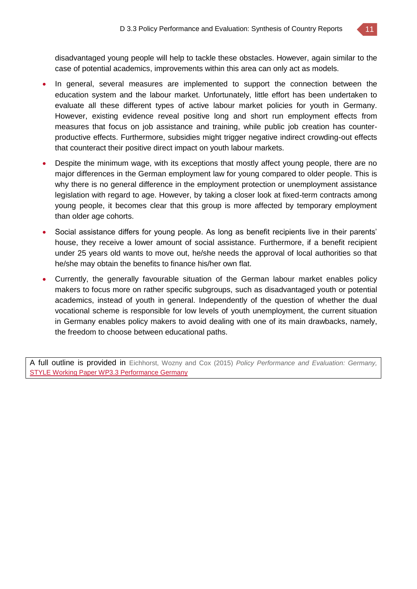

disadvantaged young people will help to tackle these obstacles. However, again similar to the case of potential academics, improvements within this area can only act as models.

- In general, several measures are implemented to support the connection between the education system and the labour market. Unfortunately, little effort has been undertaken to evaluate all these different types of active labour market policies for youth in Germany. However, existing evidence reveal positive long and short run employment effects from measures that focus on job assistance and training, while public job creation has counterproductive effects. Furthermore, subsidies might trigger negative indirect crowding-out effects that counteract their positive direct impact on youth labour markets.
- Despite the minimum wage, with its exceptions that mostly affect young people, there are no major differences in the German employment law for young compared to older people. This is why there is no general difference in the employment protection or unemployment assistance legislation with regard to age. However, by taking a closer look at fixed-term contracts among young people, it becomes clear that this group is more affected by temporary employment than older age cohorts.
- Social assistance differs for young people. As long as benefit recipients live in their parents' house, they receive a lower amount of social assistance. Furthermore, if a benefit recipient under 25 years old wants to move out, he/she needs the approval of local authorities so that he/she may obtain the benefits to finance his/her own flat.
- Currently, the generally favourable situation of the German labour market enables policy makers to focus more on rather specific subgroups, such as disadvantaged youth or potential academics, instead of youth in general. Independently of the question of whether the dual vocational scheme is responsible for low levels of youth unemployment, the current situation in Germany enables policy makers to avoid dealing with one of its main drawbacks, namely, the freedom to choose between educational paths.

A full outline is provided in Eichhorst, Wozny and Cox (2015) *Policy Performance and Evaluation: Germany,* STYLE Working Paper WP3.3 [Performance](http://www.style-research.eu/wordpress/wp-content/uploads/2015/03/STYLE-Working-Paper-WP3.3-Performance-Germany.pdf) Germany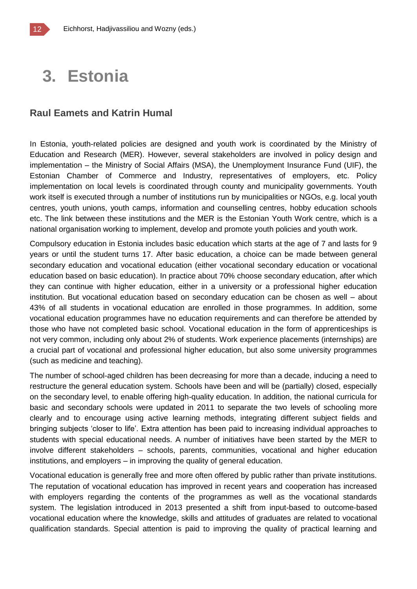### **3. Estonia**

#### **Raul Eamets and Katrin Humal**

In Estonia, youth-related policies are designed and youth work is coordinated by the Ministry of Education and Research (MER). However, several stakeholders are involved in policy design and implementation – the Ministry of Social Affairs (MSA), the Unemployment Insurance Fund (UIF), the Estonian Chamber of Commerce and Industry, representatives of employers, etc. Policy implementation on local levels is coordinated through county and municipality governments. Youth work itself is executed through a number of institutions run by municipalities or NGOs, e.g. local youth centres, youth unions, youth camps, information and counselling centres, hobby education schools etc. The link between these institutions and the MER is the Estonian Youth Work centre, which is a national organisation working to implement, develop and promote youth policies and youth work.

Compulsory education in Estonia includes basic education which starts at the age of 7 and lasts for 9 years or until the student turns 17. After basic education, a choice can be made between general secondary education and vocational education (either vocational secondary education or vocational education based on basic education). In practice about 70% choose secondary education, after which they can continue with higher education, either in a university or a professional higher education institution. But vocational education based on secondary education can be chosen as well – about 43% of all students in vocational education are enrolled in those programmes. In addition, some vocational education programmes have no education requirements and can therefore be attended by those who have not completed basic school. Vocational education in the form of apprenticeships is not very common, including only about 2% of students. Work experience placements (internships) are a crucial part of vocational and professional higher education, but also some university programmes (such as medicine and teaching).

The number of school-aged children has been decreasing for more than a decade, inducing a need to restructure the general education system. Schools have been and will be (partially) closed, especially on the secondary level, to enable offering high-quality education. In addition, the national curricula for basic and secondary schools were updated in 2011 to separate the two levels of schooling more clearly and to encourage using active learning methods, integrating different subject fields and bringing subjects 'closer to life'. Extra attention has been paid to increasing individual approaches to students with special educational needs. A number of initiatives have been started by the MER to involve different stakeholders – schools, parents, communities, vocational and higher education institutions, and employers – in improving the quality of general education.

Vocational education is generally free and more often offered by public rather than private institutions. The reputation of vocational education has improved in recent years and cooperation has increased with employers regarding the contents of the programmes as well as the vocational standards system. The legislation introduced in 2013 presented a shift from input-based to outcome-based vocational education where the knowledge, skills and attitudes of graduates are related to vocational qualification standards. Special attention is paid to improving the quality of practical learning and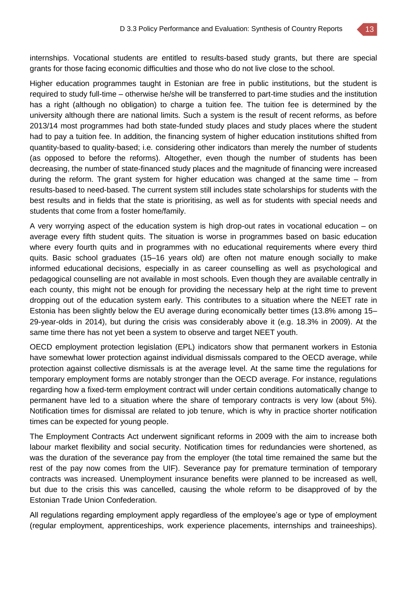internships. Vocational students are entitled to results-based study grants, but there are special grants for those facing economic difficulties and those who do not live close to the school.

Higher education programmes taught in Estonian are free in public institutions, but the student is required to study full-time – otherwise he/she will be transferred to part-time studies and the institution has a right (although no obligation) to charge a tuition fee. The tuition fee is determined by the university although there are national limits. Such a system is the result of recent reforms, as before 2013/14 most programmes had both state-funded study places and study places where the student had to pay a tuition fee. In addition, the financing system of higher education institutions shifted from quantity-based to quality-based; i.e. considering other indicators than merely the number of students (as opposed to before the reforms). Altogether, even though the number of students has been decreasing, the number of state-financed study places and the magnitude of financing were increased during the reform. The grant system for higher education was changed at the same time – from results-based to need-based. The current system still includes state scholarships for students with the best results and in fields that the state is prioritising, as well as for students with special needs and students that come from a foster home/family.

A very worrying aspect of the education system is high drop-out rates in vocational education – on average every fifth student quits. The situation is worse in programmes based on basic education where every fourth quits and in programmes with no educational requirements where every third quits. Basic school graduates (15–16 years old) are often not mature enough socially to make informed educational decisions, especially in as career counselling as well as psychological and pedagogical counselling are not available in most schools. Even though they are available centrally in each county, this might not be enough for providing the necessary help at the right time to prevent dropping out of the education system early. This contributes to a situation where the NEET rate in Estonia has been slightly below the EU average during economically better times (13.8% among 15– 29-year-olds in 2014), but during the crisis was considerably above it (e.g. 18.3% in 2009). At the same time there has not yet been a system to observe and target NEET youth.

OECD employment protection legislation (EPL) indicators show that permanent workers in Estonia have somewhat lower protection against individual dismissals compared to the OECD average, while protection against collective dismissals is at the average level. At the same time the regulations for temporary employment forms are notably stronger than the OECD average. For instance, regulations regarding how a fixed-term employment contract will under certain conditions automatically change to permanent have led to a situation where the share of temporary contracts is very low (about 5%). Notification times for dismissal are related to job tenure, which is why in practice shorter notification times can be expected for young people.

The Employment Contracts Act underwent significant reforms in 2009 with the aim to increase both labour market flexibility and social security. Notification times for redundancies were shortened, as was the duration of the severance pay from the employer (the total time remained the same but the rest of the pay now comes from the UIF). Severance pay for premature termination of temporary contracts was increased. Unemployment insurance benefits were planned to be increased as well, but due to the crisis this was cancelled, causing the whole reform to be disapproved of by the Estonian Trade Union Confederation.

All regulations regarding employment apply regardless of the employee's age or type of employment (regular employment, apprenticeships, work experience placements, internships and traineeships).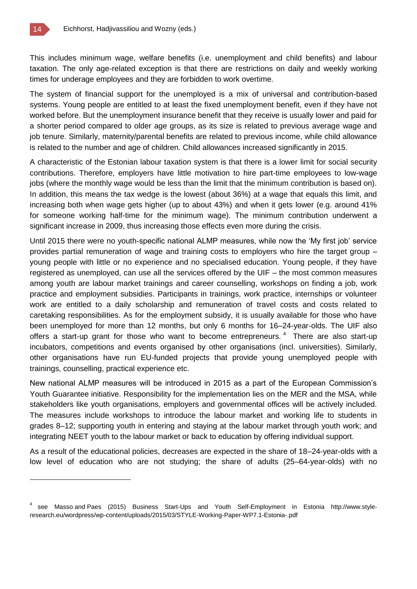This includes minimum wage, welfare benefits (i.e. unemployment and child benefits) and labour taxation. The only age-related exception is that there are restrictions on daily and weekly working times for underage employees and they are forbidden to work overtime.

The system of financial support for the unemployed is a mix of universal and contribution-based systems. Young people are entitled to at least the fixed unemployment benefit, even if they have not worked before. But the unemployment insurance benefit that they receive is usually lower and paid for a shorter period compared to older age groups, as its size is related to previous average wage and job tenure. Similarly, maternity/parental benefits are related to previous income, while child allowance is related to the number and age of children. Child allowances increased significantly in 2015.

A characteristic of the Estonian labour taxation system is that there is a lower limit for social security contributions. Therefore, employers have little motivation to hire part-time employees to low-wage jobs (where the monthly wage would be less than the limit that the minimum contribution is based on). In addition, this means the tax wedge is the lowest (about 36%) at a wage that equals this limit, and increasing both when wage gets higher (up to about 43%) and when it gets lower (e.g. around 41% for someone working half-time for the minimum wage). The minimum contribution underwent a significant increase in 2009, thus increasing those effects even more during the crisis.

Until 2015 there were no youth-specific national ALMP measures, while now the 'My first job' service provides partial remuneration of wage and training costs to employers who hire the target group – young people with little or no experience and no specialised education. Young people, if they have registered as unemployed, can use all the services offered by the UIF – the most common measures among youth are labour market trainings and career counselling, workshops on finding a job, work practice and employment subsidies. Participants in trainings, work practice, internships or volunteer work are entitled to a daily scholarship and remuneration of travel costs and costs related to caretaking responsibilities. As for the employment subsidy, it is usually available for those who have been unemployed for more than 12 months, but only 6 months for 16–24-year-olds. The UIF also offers a start-up grant for those who want to become entrepreneurs.  $4$  There are also start-up incubators, competitions and events organised by other organisations (incl. universities). Similarly, other organisations have run EU-funded projects that provide young unemployed people with trainings, counselling, practical experience etc.

New national ALMP measures will be introduced in 2015 as a part of the European Commission's Youth Guarantee initiative. Responsibility for the implementation lies on the MER and the MSA, while stakeholders like youth organisations, employers and governmental offices will be actively included. The measures include workshops to introduce the labour market and working life to students in grades 8–12; supporting youth in entering and staying at the labour market through youth work; and integrating NEET youth to the labour market or back to education by offering individual support.

As a result of the educational policies, decreases are expected in the share of 18–24-year-olds with a low level of education who are not studying; the share of adults (25–64-year-olds) with no

<sup>&</sup>lt;sup>4</sup> see Masso and Paes (2015) Business Start-Ups and Youth Self-Employment in Estonia http://www.styleresearch.eu/wordpress/wp-content/uploads/2015/03/STYLE-Working-Paper-WP7.1-Estonia-.pdf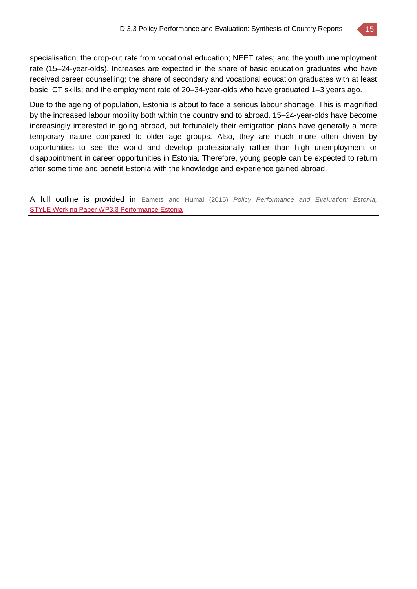

Due to the ageing of population, Estonia is about to face a serious labour shortage. This is magnified by the increased labour mobility both within the country and to abroad. 15–24-year-olds have become increasingly interested in going abroad, but fortunately their emigration plans have generally a more temporary nature compared to older age groups. Also, they are much more often driven by opportunities to see the world and develop professionally rather than high unemployment or disappointment in career opportunities in Estonia. Therefore, young people can be expected to return after some time and benefit Estonia with the knowledge and experience gained abroad.

A full outline is provided in Eamets and Humal (2015) *Policy Performance and Evaluation: Estonia,*  STYLE Working Paper WP3.3 [Performance](http://www.style-research.eu/wordpress/wp-content/uploads/2015/03/STYLE-Working-Paper-WP3.3-Performance-Estonia.pdf) Estonia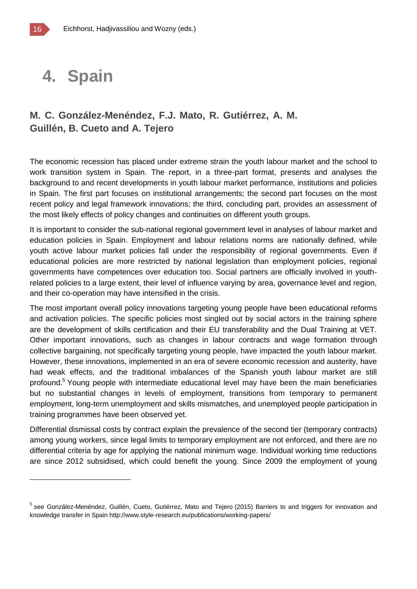### **4. Spain**

### **M. C. González-Menéndez, F.J. Mato, R. Gutiérrez, A. M. Guillén, B. Cueto and A. Tejero**

The economic recession has placed under extreme strain the youth labour market and the school to work transition system in Spain. The report, in a three-part format, presents and analyses the background to and recent developments in youth labour market performance, institutions and policies in Spain. The first part focuses on institutional arrangements; the second part focuses on the most recent policy and legal framework innovations; the third, concluding part, provides an assessment of the most likely effects of policy changes and continuities on different youth groups.

It is important to consider the sub-national regional government level in analyses of labour market and education policies in Spain. Employment and labour relations norms are nationally defined, while youth active labour market policies fall under the responsibility of regional governments. Even if educational policies are more restricted by national legislation than employment policies, regional governments have competences over education too. Social partners are officially involved in youthrelated policies to a large extent, their level of influence varying by area, governance level and region, and their co-operation may have intensified in the crisis.

The most important overall policy innovations targeting young people have been educational reforms and activation policies. The specific policies most singled out by social actors in the training sphere are the development of skills certification and their EU transferability and the Dual Training at VET. Other important innovations, such as changes in labour contracts and wage formation through collective bargaining, not specifically targeting young people, have impacted the youth labour market. However, these innovations, implemented in an era of severe economic recession and austerity, have had weak effects, and the traditional imbalances of the Spanish youth labour market are still profound.<sup>5</sup> Young people with intermediate educational level may have been the main beneficiaries but no substantial changes in levels of employment, transitions from temporary to permanent employment, long-term unemployment and skills mismatches, and unemployed people participation in training programmes have been observed yet.

Differential dismissal costs by contract explain the prevalence of the second tier (temporary contracts) among young workers, since legal limits to temporary employment are not enforced, and there are no differential criteria by age for applying the national minimum wage. Individual working time reductions are since 2012 subsidised, which could benefit the young. Since 2009 the employment of young

<sup>&</sup>lt;sup>5</sup> see González-Menéndez, Guillén, Cueto, Gutiérrez, Mato and Tejero (2015) Barriers to and triggers for innovation and knowledge transfer in Spain http://www.style-research.eu/publications/working-papers/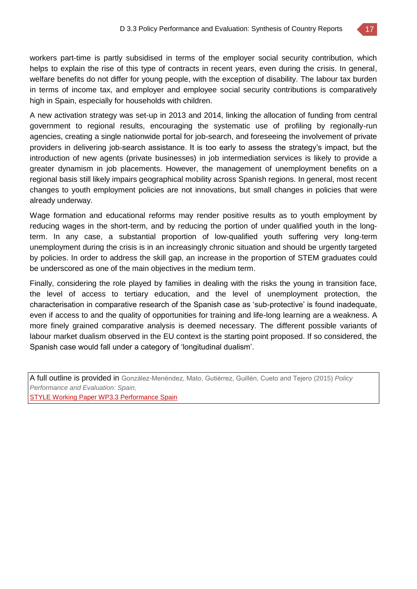

workers part-time is partly subsidised in terms of the employer social security contribution, which helps to explain the rise of this type of contracts in recent years, even during the crisis. In general, welfare benefits do not differ for young people, with the exception of disability. The labour tax burden in terms of income tax, and employer and employee social security contributions is comparatively high in Spain, especially for households with children.

A new activation strategy was set-up in 2013 and 2014, linking the allocation of funding from central government to regional results, encouraging the systematic use of profiling by regionally-run agencies, creating a single nationwide portal for job-search, and foreseeing the involvement of private providers in delivering job-search assistance. It is too early to assess the strategy's impact, but the introduction of new agents (private businesses) in job intermediation services is likely to provide a greater dynamism in job placements. However, the management of unemployment benefits on a regional basis still likely impairs geographical mobility across Spanish regions. In general, most recent changes to youth employment policies are not innovations, but small changes in policies that were already underway.

Wage formation and educational reforms may render positive results as to youth employment by reducing wages in the short-term, and by reducing the portion of under qualified youth in the longterm. In any case, a substantial proportion of low-qualified youth suffering very long-term unemployment during the crisis is in an increasingly chronic situation and should be urgently targeted by policies. In order to address the skill gap, an increase in the proportion of STEM graduates could be underscored as one of the main objectives in the medium term.

Finally, considering the role played by families in dealing with the risks the young in transition face, the level of access to tertiary education, and the level of unemployment protection, the characterisation in comparative research of the Spanish case as 'sub-protective' is found inadequate, even if access to and the quality of opportunities for training and life-long learning are a weakness. A more finely grained comparative analysis is deemed necessary. The different possible variants of labour market dualism observed in the EU context is the starting point proposed. If so considered, the Spanish case would fall under a category of 'longitudinal dualism'.

A full outline is provided in González-Menéndez, Mato, Gutiérrez, Guillén, Cueto and Tejero (2015) *Policy Performance and Evaluation: Spain,* 

[STYLE Working Paper WP3.3 Performance Spain](http://www.style-research.eu/wordpress/wp-content/uploads/2015/03/STYLE-Working-Paper-WP3.3-Performance-Spain.pdf)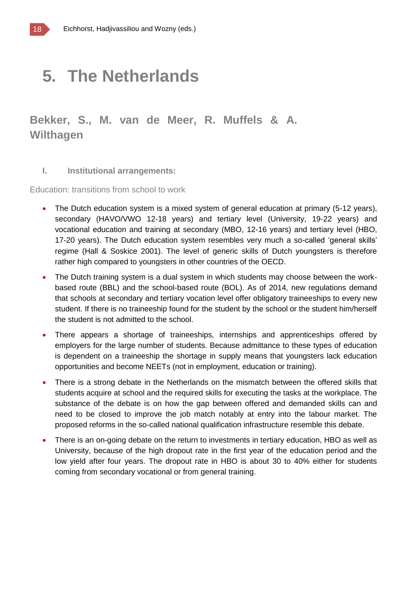## **5. The Netherlands**

**Bekker, S., M. van de Meer, R. Muffels & A. Wilthagen** 

#### **I. Institutional arrangements:**

Education: transitions from school to work

- The Dutch education system is a mixed system of general education at primary (5-12 years), secondary (HAVO/VWO 12-18 years) and tertiary level (University, 19-22 years) and vocational education and training at secondary (MBO, 12-16 years) and tertiary level (HBO, 17-20 years). The Dutch education system resembles very much a so-called 'general skills' regime (Hall & Soskice 2001). The level of generic skills of Dutch youngsters is therefore rather high compared to youngsters in other countries of the OECD.
- The Dutch training system is a dual system in which students may choose between the workbased route (BBL) and the school-based route (BOL). As of 2014, new regulations demand that schools at secondary and tertiary vocation level offer obligatory traineeships to every new student. If there is no traineeship found for the student by the school or the student him/herself the student is not admitted to the school.
- There appears a shortage of traineeships, internships and apprenticeships offered by employers for the large number of students. Because admittance to these types of education is dependent on a traineeship the shortage in supply means that youngsters lack education opportunities and become NEETs (not in employment, education or training).
- There is a strong debate in the Netherlands on the mismatch between the offered skills that students acquire at school and the required skills for executing the tasks at the workplace. The substance of the debate is on how the gap between offered and demanded skills can and need to be closed to improve the job match notably at entry into the labour market. The proposed reforms in the so-called national qualification infrastructure resemble this debate.
- There is an on-going debate on the return to investments in tertiary education, HBO as well as University, because of the high dropout rate in the first year of the education period and the low yield after four years. The dropout rate in HBO is about 30 to 40% either for students coming from secondary vocational or from general training.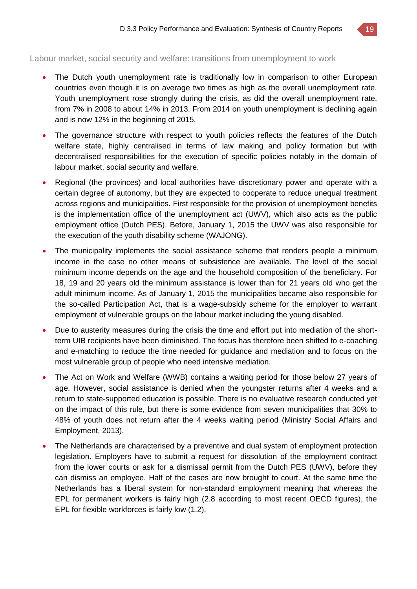Labour market, social security and welfare: transitions from unemployment to work

- The Dutch youth unemployment rate is traditionally low in comparison to other European countries even though it is on average two times as high as the overall unemployment rate. Youth unemployment rose strongly during the crisis, as did the overall unemployment rate, from 7% in 2008 to about 14% in 2013. From 2014 on youth unemployment is declining again and is now 12% in the beginning of 2015.
- The governance structure with respect to youth policies reflects the features of the Dutch welfare state, highly centralised in terms of law making and policy formation but with decentralised responsibilities for the execution of specific policies notably in the domain of labour market, social security and welfare.
- Regional (the provinces) and local authorities have discretionary power and operate with a certain degree of autonomy, but they are expected to cooperate to reduce unequal treatment across regions and municipalities. First responsible for the provision of unemployment benefits is the implementation office of the unemployment act (UWV), which also acts as the public employment office (Dutch PES). Before, January 1, 2015 the UWV was also responsible for the execution of the youth disability scheme (WAJONG).
- The municipality implements the social assistance scheme that renders people a minimum income in the case no other means of subsistence are available. The level of the social minimum income depends on the age and the household composition of the beneficiary. For 18, 19 and 20 years old the minimum assistance is lower than for 21 years old who get the adult minimum income. As of January 1, 2015 the municipalities became also responsible for the so-called Participation Act, that is a wage-subsidy scheme for the employer to warrant employment of vulnerable groups on the labour market including the young disabled.
- Due to austerity measures during the crisis the time and effort put into mediation of the shortterm UIB recipients have been diminished. The focus has therefore been shifted to e-coaching and e-matching to reduce the time needed for guidance and mediation and to focus on the most vulnerable group of people who need intensive mediation.
- The Act on Work and Welfare (WWB) contains a waiting period for those below 27 years of age. However, social assistance is denied when the youngster returns after 4 weeks and a return to state-supported education is possible. There is no evaluative research conducted yet on the impact of this rule, but there is some evidence from seven municipalities that 30% to 48% of youth does not return after the 4 weeks waiting period (Ministry Social Affairs and Employment, 2013).
- The Netherlands are characterised by a preventive and dual system of employment protection legislation. Employers have to submit a request for dissolution of the employment contract from the lower courts or ask for a dismissal permit from the Dutch PES (UWV), before they can dismiss an employee. Half of the cases are now brought to court. At the same time the Netherlands has a liberal system for non-standard employment meaning that whereas the EPL for permanent workers is fairly high (2.8 according to most recent OECD figures), the EPL for flexible workforces is fairly low (1.2).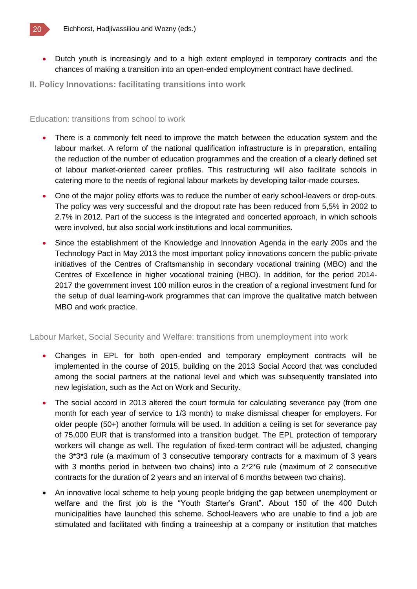

- Dutch youth is increasingly and to a high extent employed in temporary contracts and the chances of making a transition into an open-ended employment contract have declined.
- **II. Policy Innovations: facilitating transitions into work**

#### Education: transitions from school to work

- There is a commonly felt need to improve the match between the education system and the labour market. A reform of the national qualification infrastructure is in preparation, entailing the reduction of the number of education programmes and the creation of a clearly defined set of labour market-oriented career profiles. This restructuring will also facilitate schools in catering more to the needs of regional labour markets by developing tailor-made courses.
- One of the major policy efforts was to reduce the number of early school-leavers or drop-outs. The policy was very successful and the dropout rate has been reduced from 5,5% in 2002 to 2.7% in 2012. Part of the success is the integrated and concerted approach, in which schools were involved, but also social work institutions and local communities.
- Since the establishment of the Knowledge and Innovation Agenda in the early 200s and the Technology Pact in May 2013 the most important policy innovations concern the public-private initiatives of the Centres of Craftsmanship in secondary vocational training (MBO) and the Centres of Excellence in higher vocational training (HBO). In addition, for the period 2014- 2017 the government invest 100 million euros in the creation of a regional investment fund for the setup of dual learning-work programmes that can improve the qualitative match between MBO and work practice.

#### Labour Market, Social Security and Welfare: transitions from unemployment into work

- Changes in EPL for both open-ended and temporary employment contracts will be implemented in the course of 2015, building on the 2013 Social Accord that was concluded among the social partners at the national level and which was subsequently translated into new legislation, such as the Act on Work and Security.
- The social accord in 2013 altered the court formula for calculating severance pay (from one month for each year of service to 1/3 month) to make dismissal cheaper for employers. For older people (50+) another formula will be used. In addition a ceiling is set for severance pay of 75,000 EUR that is transformed into a transition budget. The EPL protection of temporary workers will change as well. The regulation of fixed-term contract will be adjusted, changing the 3\*3\*3 rule (a maximum of 3 consecutive temporary contracts for a maximum of 3 years with 3 months period in between two chains) into a  $2*2*6$  rule (maximum of 2 consecutive contracts for the duration of 2 years and an interval of 6 months between two chains).
- An innovative local scheme to help young people bridging the gap between unemployment or welfare and the first job is the "Youth Starter's Grant". About 150 of the 400 Dutch municipalities have launched this scheme. School-leavers who are unable to find a job are stimulated and facilitated with finding a traineeship at a company or institution that matches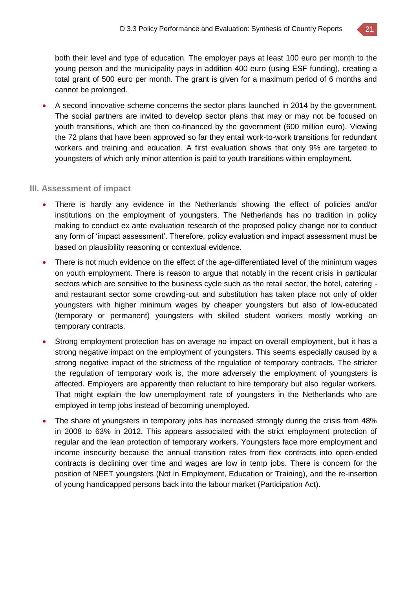

both their level and type of education. The employer pays at least 100 euro per month to the young person and the municipality pays in addition 400 euro (using ESF funding), creating a total grant of 500 euro per month. The grant is given for a maximum period of 6 months and cannot be prolonged.

 A second innovative scheme concerns the sector plans launched in 2014 by the government. The social partners are invited to develop sector plans that may or may not be focused on youth transitions, which are then co-financed by the government (600 million euro). Viewing the 72 plans that have been approved so far they entail work-to-work transitions for redundant workers and training and education. A first evaluation shows that only 9% are targeted to youngsters of which only minor attention is paid to youth transitions within employment.

#### **III. Assessment of impact**

- There is hardly any evidence in the Netherlands showing the effect of policies and/or institutions on the employment of youngsters. The Netherlands has no tradition in policy making to conduct ex ante evaluation research of the proposed policy change nor to conduct any form of 'impact assessment'. Therefore, policy evaluation and impact assessment must be based on plausibility reasoning or contextual evidence.
- There is not much evidence on the effect of the age-differentiated level of the minimum wages on youth employment. There is reason to argue that notably in the recent crisis in particular sectors which are sensitive to the business cycle such as the retail sector, the hotel, catering and restaurant sector some crowding-out and substitution has taken place not only of older youngsters with higher minimum wages by cheaper youngsters but also of low-educated (temporary or permanent) youngsters with skilled student workers mostly working on temporary contracts.
- Strong employment protection has on average no impact on overall employment, but it has a strong negative impact on the employment of youngsters. This seems especially caused by a strong negative impact of the strictness of the regulation of temporary contracts. The stricter the regulation of temporary work is, the more adversely the employment of youngsters is affected. Employers are apparently then reluctant to hire temporary but also regular workers. That might explain the low unemployment rate of youngsters in the Netherlands who are employed in temp jobs instead of becoming unemployed.
- The share of youngsters in temporary jobs has increased strongly during the crisis from 48% in 2008 to 63% in 2012. This appears associated with the strict employment protection of regular and the lean protection of temporary workers. Youngsters face more employment and income insecurity because the annual transition rates from flex contracts into open-ended contracts is declining over time and wages are low in temp jobs. There is concern for the position of NEET youngsters (Not in Employment, Education or Training), and the re-insertion of young handicapped persons back into the labour market (Participation Act).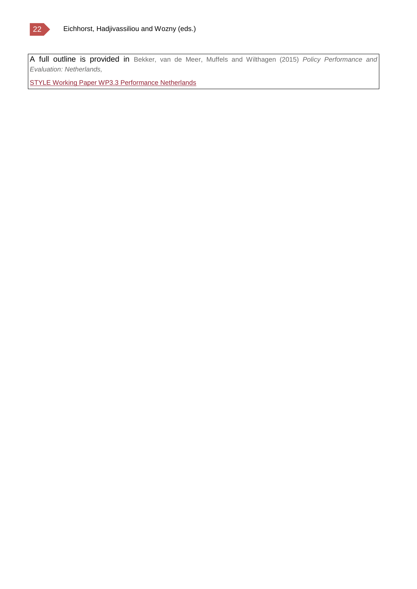

A full outline is provided in Bekker, van de Meer, Muffels and Wilthagen (2015) *Policy Performance and Evaluation: Netherlands,*

STYLE Working Paper WP3.3 [Performance](http://www.style-research.eu/wordpress/wp-content/uploads/2015/03/STYLE-Working-Paper-WP3.3-Performance-Netherlands.docx) Netherlands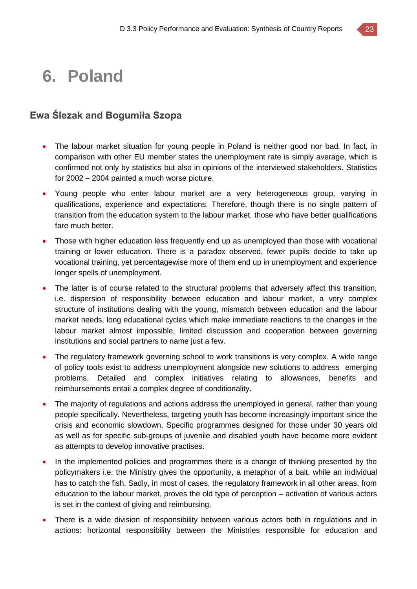## **6. Poland**

### **Ewa Ślezak and Bogumiła Szopa**

- The labour market situation for young people in Poland is neither good nor bad. In fact, in comparison with other EU member states the unemployment rate is simply average, which is confirmed not only by statistics but also in opinions of the interviewed stakeholders. Statistics for 2002 – 2004 painted a much worse picture.
- Young people who enter labour market are a very heterogeneous group, varying in qualifications, experience and expectations. Therefore, though there is no single pattern of transition from the education system to the labour market, those who have better qualifications fare much better.
- Those with higher education less frequently end up as unemployed than those with vocational training or lower education. There is a paradox observed, fewer pupils decide to take up vocational training, yet percentagewise more of them end up in unemployment and experience longer spells of unemployment.
- The latter is of course related to the structural problems that adversely affect this transition, i.e. dispersion of responsibility between education and labour market, a very complex structure of institutions dealing with the young, mismatch between education and the labour market needs, long educational cycles which make immediate reactions to the changes in the labour market almost impossible, limited discussion and cooperation between governing institutions and social partners to name just a few.
- The regulatory framework governing school to work transitions is very complex. A wide range of policy tools exist to address unemployment alongside new solutions to address emerging problems. Detailed and complex initiatives relating to allowances, benefits and reimbursements entail a complex degree of conditionality.
- The majority of regulations and actions address the unemployed in general, rather than young people specifically. Nevertheless, targeting youth has become increasingly important since the crisis and economic slowdown. Specific programmes designed for those under 30 years old as well as for specific sub-groups of juvenile and disabled youth have become more evident as attempts to develop innovative practises.
- In the implemented policies and programmes there is a change of thinking presented by the policymakers i.e. the Ministry gives the opportunity, a metaphor of a bait, while an individual has to catch the fish. Sadly, in most of cases, the regulatory framework in all other areas, from education to the labour market, proves the old type of perception – activation of various actors is set in the context of giving and reimbursing.
- There is a wide division of responsibility between various actors both in regulations and in actions: horizontal responsibility between the Ministries responsible for education and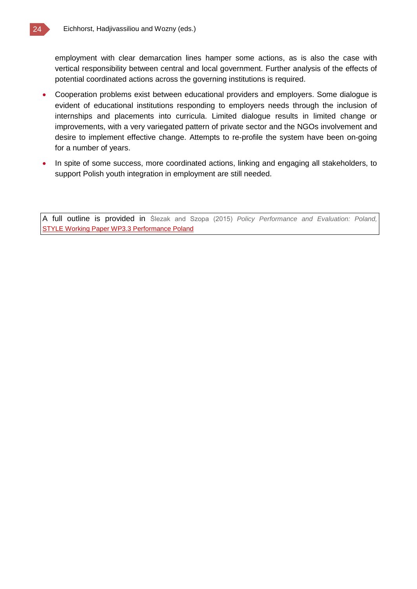employment with clear demarcation lines hamper some actions, as is also the case with vertical responsibility between central and local government. Further analysis of the effects of potential coordinated actions across the governing institutions is required.

- Cooperation problems exist between educational providers and employers. Some dialogue is evident of educational institutions responding to employers needs through the inclusion of internships and placements into curricula. Limited dialogue results in limited change or improvements, with a very variegated pattern of private sector and the NGOs involvement and desire to implement effective change. Attempts to re-profile the system have been on-going for a number of years.
- In spite of some success, more coordinated actions, linking and engaging all stakeholders, to support Polish youth integration in employment are still needed.

A full outline is provided in Ślezak and Szopa (2015) *Policy Performance and Evaluation: Poland,* **[STYLE Working Paper WP3.3 Performance Poland](http://www.style-research.eu/wordpress/wp-content/uploads/2015/03/STYLE-Working-Paper-WP3.3-Performance-Poland.docx)**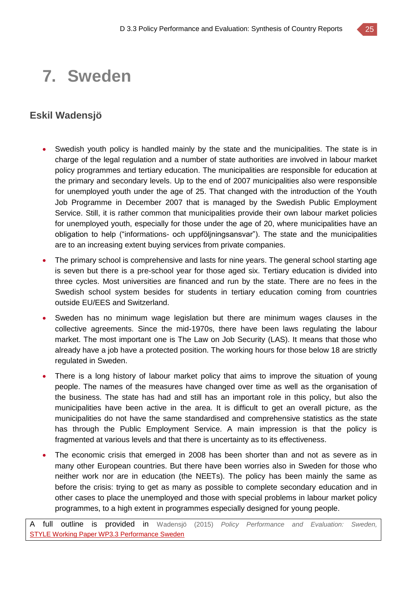## **7. Sweden**

### **Eskil Wadensjö**

- Swedish youth policy is handled mainly by the state and the municipalities. The state is in charge of the legal regulation and a number of state authorities are involved in labour market policy programmes and tertiary education. The municipalities are responsible for education at the primary and secondary levels. Up to the end of 2007 municipalities also were responsible for unemployed youth under the age of 25. That changed with the introduction of the Youth Job Programme in December 2007 that is managed by the Swedish Public Employment Service. Still, it is rather common that municipalities provide their own labour market policies for unemployed youth, especially for those under the age of 20, where municipalities have an obligation to help ("informations- och uppföljningsansvar"). The state and the municipalities are to an increasing extent buying services from private companies.
- The primary school is comprehensive and lasts for nine years. The general school starting age is seven but there is a pre-school year for those aged six. Tertiary education is divided into three cycles. Most universities are financed and run by the state. There are no fees in the Swedish school system besides for students in tertiary education coming from countries outside EU/EES and Switzerland.
- Sweden has no minimum wage legislation but there are minimum wages clauses in the collective agreements. Since the mid-1970s, there have been laws regulating the labour market. The most important one is The Law on Job Security (LAS). It means that those who already have a job have a protected position. The working hours for those below 18 are strictly regulated in Sweden.
- There is a long history of labour market policy that aims to improve the situation of young people. The names of the measures have changed over time as well as the organisation of the business. The state has had and still has an important role in this policy, but also the municipalities have been active in the area. It is difficult to get an overall picture, as the municipalities do not have the same standardised and comprehensive statistics as the state has through the Public Employment Service. A main impression is that the policy is fragmented at various levels and that there is uncertainty as to its effectiveness.
- The economic crisis that emerged in 2008 has been shorter than and not as severe as in many other European countries. But there have been worries also in Sweden for those who neither work nor are in education (the NEETs). The policy has been mainly the same as before the crisis: trying to get as many as possible to complete secondary education and in other cases to place the unemployed and those with special problems in labour market policy programmes, to a high extent in programmes especially designed for young people.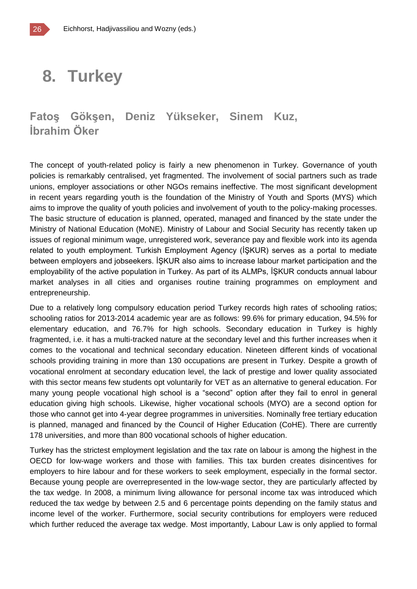## **8. Turkey**

### **Fatoş Gökşen, Deniz Yükseker, Sinem Kuz, İbrahim Öker**

The concept of youth-related policy is fairly a new phenomenon in Turkey. Governance of youth policies is remarkably centralised, yet fragmented. The involvement of social partners such as trade unions, employer associations or other NGOs remains ineffective. The most significant development in recent years regarding youth is the foundation of the Ministry of Youth and Sports (MYS) which aims to improve the quality of youth policies and involvement of youth to the policy-making processes. The basic structure of education is planned, operated, managed and financed by the state under the Ministry of National Education (MoNE). Ministry of Labour and Social Security has recently taken up issues of regional minimum wage, unregistered work, severance pay and flexible work into its agenda related to youth employment. Turkish Employment Agency (İŞKUR) serves as a portal to mediate between employers and jobseekers. İŞKUR also aims to increase labour market participation and the employability of the active population in Turkey. As part of its ALMPs, İŞKUR conducts annual labour market analyses in all cities and organises routine training programmes on employment and entrepreneurship.

Due to a relatively long compulsory education period Turkey records high rates of schooling ratios; schooling ratios for 2013-2014 academic year are as follows: 99.6% for primary education, 94.5% for elementary education, and 76.7% for high schools. Secondary education in Turkey is highly fragmented, i.e. it has a multi-tracked nature at the secondary level and this further increases when it comes to the vocational and technical secondary education. Nineteen different kinds of vocational schools providing training in more than 130 occupations are present in Turkey. Despite a growth of vocational enrolment at secondary education level, the lack of prestige and lower quality associated with this sector means few students opt voluntarily for VET as an alternative to general education. For many young people vocational high school is a "second" option after they fail to enrol in general education giving high schools. Likewise, higher vocational schools (MYO) are a second option for those who cannot get into 4-year degree programmes in universities. Nominally free tertiary education is planned, managed and financed by the Council of Higher Education (CoHE). There are currently 178 universities, and more than 800 vocational schools of higher education.

Turkey has the strictest employment legislation and the tax rate on labour is among the highest in the OECD for low-wage workers and those with families. This tax burden creates disincentives for employers to hire labour and for these workers to seek employment, especially in the formal sector. Because young people are overrepresented in the low-wage sector, they are particularly affected by the tax wedge. In 2008, a minimum living allowance for personal income tax was introduced which reduced the tax wedge by between 2.5 and 6 percentage points depending on the family status and income level of the worker. Furthermore, social security contributions for employers were reduced which further reduced the average tax wedge. Most importantly, Labour Law is only applied to formal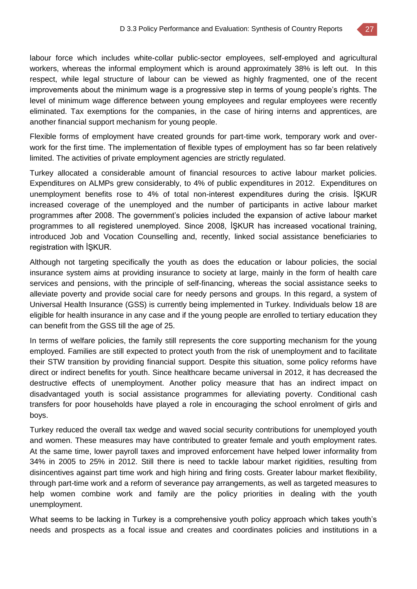labour force which includes white-collar public-sector employees, self-employed and agricultural workers, whereas the informal employment which is around approximately 38% is left out. In this respect, while legal structure of labour can be viewed as highly fragmented, one of the recent improvements about the minimum wage is a progressive step in terms of young people's rights. The level of minimum wage difference between young employees and regular employees were recently eliminated. Tax exemptions for the companies, in the case of hiring interns and apprentices, are another financial support mechanism for young people.

Flexible forms of employment have created grounds for part-time work, temporary work and overwork for the first time. The implementation of flexible types of employment has so far been relatively limited. The activities of private employment agencies are strictly regulated.

Turkey allocated a considerable amount of financial resources to active labour market policies. Expenditures on ALMPs grew considerably, to 4% of public expenditures in 2012. Expenditures on unemployment benefits rose to 4% of total non-interest expenditures during the crisis. İŞKUR increased coverage of the unemployed and the number of participants in active labour market programmes after 2008. The government's policies included the expansion of active labour market programmes to all registered unemployed. Since 2008, İŞKUR has increased vocational training, introduced Job and Vocation Counselling and, recently, linked social assistance beneficiaries to registration with İŞKUR.

Although not targeting specifically the youth as does the education or labour policies, the social insurance system aims at providing insurance to society at large, mainly in the form of health care services and pensions, with the principle of self-financing, whereas the social assistance seeks to alleviate poverty and provide social care for needy persons and groups. In this regard, a system of Universal Health Insurance (GSS) is currently being implemented in Turkey. Individuals below 18 are eligible for health insurance in any case and if the young people are enrolled to tertiary education they can benefit from the GSS till the age of 25.

In terms of welfare policies, the family still represents the core supporting mechanism for the young employed. Families are still expected to protect youth from the risk of unemployment and to facilitate their STW transition by providing financial support. Despite this situation, some policy reforms have direct or indirect benefits for youth. Since healthcare became universal in 2012, it has decreased the destructive effects of unemployment. Another policy measure that has an indirect impact on disadvantaged youth is social assistance programmes for alleviating poverty. Conditional cash transfers for poor households have played a role in encouraging the school enrolment of girls and boys.

Turkey reduced the overall tax wedge and waved social security contributions for unemployed youth and women. These measures may have contributed to greater female and youth employment rates. At the same time, lower payroll taxes and improved enforcement have helped lower informality from 34% in 2005 to 25% in 2012. Still there is need to tackle labour market rigidities, resulting from disincentives against part time work and high hiring and firing costs. Greater labour market flexibility, through part-time work and a reform of severance pay arrangements, as well as targeted measures to help women combine work and family are the policy priorities in dealing with the youth unemployment.

What seems to be lacking in Turkey is a comprehensive youth policy approach which takes youth's needs and prospects as a focal issue and creates and coordinates policies and institutions in a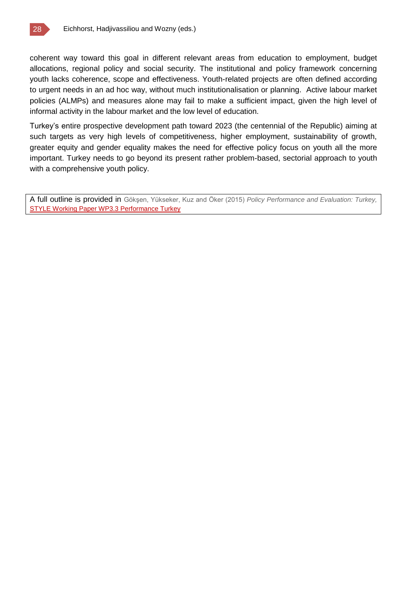

coherent way toward this goal in different relevant areas from education to employment, budget allocations, regional policy and social security. The institutional and policy framework concerning youth lacks coherence, scope and effectiveness. Youth-related projects are often defined according to urgent needs in an ad hoc way, without much institutionalisation or planning. Active labour market policies (ALMPs) and measures alone may fail to make a sufficient impact, given the high level of informal activity in the labour market and the low level of education.

Turkey's entire prospective development path toward 2023 (the centennial of the Republic) aiming at such targets as very high levels of competitiveness, higher employment, sustainability of growth, greater equity and gender equality makes the need for effective policy focus on youth all the more important. Turkey needs to go beyond its present rather problem-based, sectorial approach to youth with a comprehensive youth policy.

A full outline is provided in Gökşen, Yükseker, Kuz and Öker (2015) *Policy Performance and Evaluation: Turkey,*  [STYLE Working Paper WP3.3 Performance Turkey](http://www.style-research.eu/wordpress/wp-content/uploads/2015/03/STYLE-Working-Paper-WP3.3-Performance-Turkey-.docx)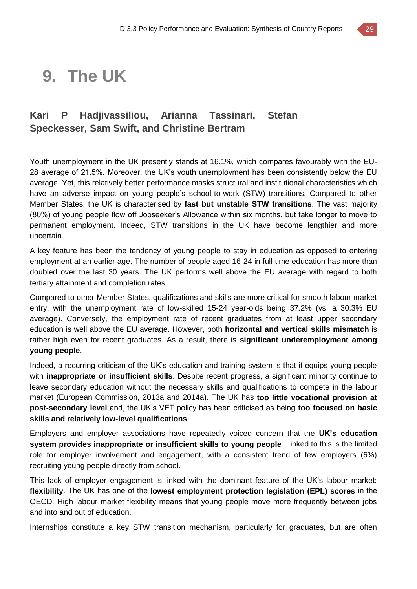## **9. The UK**

### **Kari P Hadjivassiliou, Arianna Tassinari, Stefan Speckesser, Sam Swift, and Christine Bertram**

Youth unemployment in the UK presently stands at 16.1%, which compares favourably with the EU-28 average of 21.5%. Moreover, the UK's youth unemployment has been consistently below the EU average. Yet, this relatively better performance masks structural and institutional characteristics which have an adverse impact on young people's school-to-work (STW) transitions. Compared to other Member States, the UK is characterised by **fast but unstable STW transitions**. The vast majority (80%) of young people flow off Jobseeker's Allowance within six months, but take longer to move to permanent employment. Indeed, STW transitions in the UK have become lengthier and more uncertain.

A key feature has been the tendency of young people to stay in education as opposed to entering employment at an earlier age. The number of people aged 16-24 in full-time education has more than doubled over the last 30 years. The UK performs well above the EU average with regard to both tertiary attainment and completion rates.

Compared to other Member States, qualifications and skills are more critical for smooth labour market entry, with the unemployment rate of low-skilled 15-24 year-olds being 37.2% (vs. a 30.3% EU average). Conversely, the employment rate of recent graduates from at least upper secondary education is well above the EU average. However, both **horizontal and vertical skills mismatch** is rather high even for recent graduates. As a result, there is **significant underemployment among young people**.

Indeed, a recurring criticism of the UK's education and training system is that it equips young people with **inappropriate or insufficient skills**. Despite recent progress, a significant minority continue to leave secondary education without the necessary skills and qualifications to compete in the labour market (European Commission, 2013a and 2014a). The UK has **too little vocational provision at post-secondary level** and, the UK's VET policy has been criticised as being **too focused on basic skills and relatively low-level qualifications**.

Employers and employer associations have repeatedly voiced concern that the **UK's education system provides inappropriate or insufficient skills to young people**. Linked to this is the limited role for employer involvement and engagement, with a consistent trend of few employers (6%) recruiting young people directly from school.

This lack of employer engagement is linked with the dominant feature of the UK's labour market: **flexibility**. The UK has one of the **lowest employment protection legislation (EPL) scores** in the OECD. High labour market flexibility means that young people move more frequently between jobs and into and out of education.

Internships constitute a key STW transition mechanism, particularly for graduates, but are often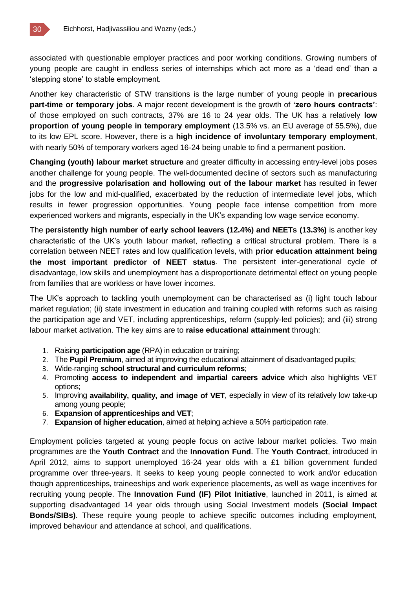associated with questionable employer practices and poor working conditions. Growing numbers of young people are caught in endless series of internships which act more as a 'dead end' than a 'stepping stone' to stable employment.

Another key characteristic of STW transitions is the large number of young people in **precarious part-time or temporary jobs**. A major recent development is the growth of **'zero hours contracts'**: of those employed on such contracts, 37% are 16 to 24 year olds. The UK has a relatively **low proportion of young people in temporary employment** (13.5% vs. an EU average of 55.5%), due to its low EPL score. However, there is a **high incidence of involuntary temporary employment**, with nearly 50% of temporary workers aged 16-24 being unable to find a permanent position.

**Changing (youth) labour market structure** and greater difficulty in accessing entry-level jobs poses another challenge for young people. The well-documented decline of sectors such as manufacturing and the **progressive polarisation and hollowing out of the labour market** has resulted in fewer jobs for the low and mid-qualified, exacerbated by the reduction of intermediate level jobs, which results in fewer progression opportunities. Young people face intense competition from more experienced workers and migrants, especially in the UK's expanding low wage service economy.

The **persistently high number of early school leavers (12.4%) and NEETs (13.3%)** is another key characteristic of the UK's youth labour market, reflecting a critical structural problem. There is a correlation between NEET rates and low qualification levels, with **prior education attainment being the most important predictor of NEET status**. The persistent inter-generational cycle of disadvantage, low skills and unemployment has a disproportionate detrimental effect on young people from families that are workless or have lower incomes.

The UK's approach to tackling youth unemployment can be characterised as (i) light touch labour market regulation; (ii) state investment in education and training coupled with reforms such as raising the participation age and VET, including apprenticeships, reform (supply-led policies); and (iii) strong labour market activation. The key aims are to **raise educational attainment** through:

- 1. Raising **participation age** (RPA) in education or training;
- 2. The **Pupil Premium**, aimed at improving the educational attainment of disadvantaged pupils;
- 3. Wide-ranging **school structural and curriculum reforms**;
- 4. Promoting **access to independent and impartial careers advice** which also highlights VET options;
- 5. Improving **availability, quality, and image of VET**, especially in view of its relatively low take-up among young people;
- 6. **Expansion of apprenticeships and VET**;
- 7. **Expansion of higher education**, aimed at helping achieve a 50% participation rate.

Employment policies targeted at young people focus on active labour market policies. Two main programmes are the **Youth Contract** and the **Innovation Fund**. The **Youth Contract**, introduced in April 2012, aims to support unemployed 16-24 year olds with a £1 billion government funded programme over three-years. It seeks to keep young people connected to work and/or education though apprenticeships, traineeships and work experience placements, as well as wage incentives for recruiting young people. The **Innovation Fund (IF) Pilot Initiative**, launched in 2011, is aimed at supporting disadvantaged 14 year olds through using Social Investment models **(Social Impact Bonds/SIBs)**. These require young people to achieve specific outcomes including employment, improved behaviour and attendance at school, and qualifications.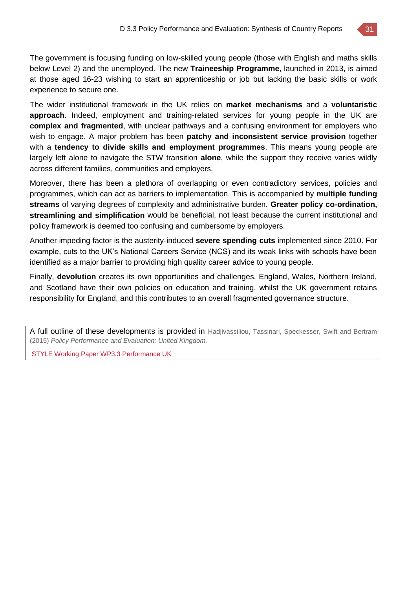The government is focusing funding on low-skilled young people (those with English and maths skills below Level 2) and the unemployed. The new **Traineeship Programme**, launched in 2013, is aimed at those aged 16-23 wishing to start an apprenticeship or job but lacking the basic skills or work experience to secure one.

The wider institutional framework in the UK relies on **market mechanisms** and a **voluntaristic approach**. Indeed, employment and training-related services for young people in the UK are **complex and fragmented**, with unclear pathways and a confusing environment for employers who wish to engage. A major problem has been **patchy and inconsistent service provision** together with a **tendency to divide skills and employment programmes**. This means young people are largely left alone to navigate the STW transition **alone**, while the support they receive varies wildly across different families, communities and employers.

Moreover, there has been a plethora of overlapping or even contradictory services, policies and programmes, which can act as barriers to implementation. This is accompanied by **multiple funding streams** of varying degrees of complexity and administrative burden. **Greater policy co-ordination, streamlining and simplification** would be beneficial, not least because the current institutional and policy framework is deemed too confusing and cumbersome by employers.

Another impeding factor is the austerity-induced **severe spending cuts** implemented since 2010. For example, cuts to the UK's National Careers Service (NCS) and its weak links with schools have been identified as a major barrier to providing high quality career advice to young people.

Finally, **devolution** creates its own opportunities and challenges. England, Wales, Northern Ireland, and Scotland have their own policies on education and training, whilst the UK government retains responsibility for England, and this contributes to an overall fragmented governance structure.

A full outline of these developments is provided in Hadjivassiliou, Tassinari, Speckesser, Swift and Bertram (2015) *Policy Performance and Evaluation: United Kingdom,*

STYLE Working Paper WP3.3 [Performance](http://www.style-research.eu/wordpress/wp-content/uploads/2015/03/STYLE-Working-Paper-WP3.3-Performance-UK.pdf) UK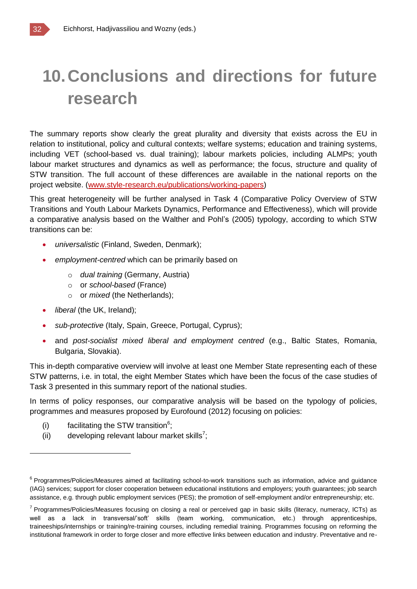# **10.Conclusions and directions for future research**

The summary reports show clearly the great plurality and diversity that exists across the EU in relation to institutional, policy and cultural contexts; welfare systems; education and training systems, including VET (school-based vs. dual training); labour markets policies, including ALMPs; youth labour market structures and dynamics as well as performance; the focus, structure and quality of STW transition. The full account of these differences are available in the national reports on the project website. [\(www.style-research.eu/publications/working-papers\)](http://www.style-research.eu/publications/working-papers)

This great heterogeneity will be further analysed in Task 4 (Comparative Policy Overview of STW Transitions and Youth Labour Markets Dynamics, Performance and Effectiveness), which will provide a comparative analysis based on the Walther and Pohl's (2005) typology, according to which STW transitions can be:

- *universalistic* (Finland, Sweden, Denmark);
- *employment-centred* which can be primarily based on
	- o *dual training* (Germany, Austria)
	- o or *school-based* (France)
	- o or *mixed* (the Netherlands);
- *liberal* (the UK, Ireland);
- *sub-protective* (Italy, Spain, Greece, Portugal, Cyprus);
- and *post-socialist mixed liberal and employment centred* (e.g., Baltic States, Romania, Bulgaria, Slovakia).

This in-depth comparative overview will involve at least one Member State representing each of these STW patterns, i.e. in total, the eight Member States which have been the focus of the case studies of Task 3 presented in this summary report of the national studies.

In terms of policy responses, our comparative analysis will be based on the typology of policies, programmes and measures proposed by Eurofound (2012) focusing on policies:

(i) facilitating the STW transition $6$ ;

 $\overline{a}$ 

(ii) developing relevant labour market skills<sup>7</sup>;

<sup>&</sup>lt;sup>6</sup> Programmes/Policies/Measures aimed at facilitating school-to-work transitions such as information, advice and guidance (IAG) services; support for closer cooperation between educational institutions and employers; youth guarantees; job search assistance, e.g. through public employment services (PES); the promotion of self-employment and/or entrepreneurship; etc.

<sup>&</sup>lt;sup>7</sup> Programmes/Policies/Measures focusing on closing a real or perceived gap in basic skills (literacy, numeracy, ICTs) as well as a lack in transversal/'soft' skills (team working, communication, etc.) through apprenticeships, traineeships/internships or training/re-training courses, including remedial training. Programmes focusing on reforming the institutional framework in order to forge closer and more effective links between education and industry. Preventative and re-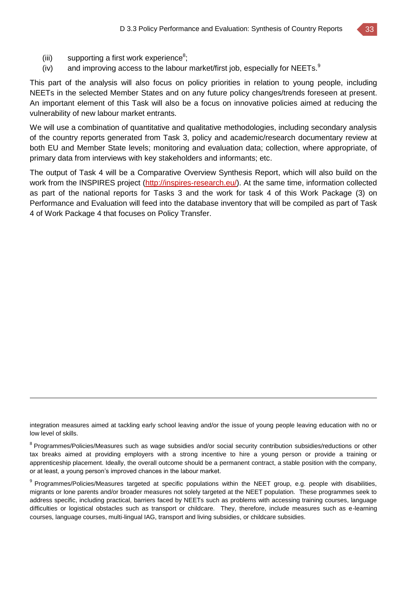(iii) supporting a first work experience $s$ ;

 $\overline{a}$ 

(iv) and improving access to the labour market/first job, especially for NEETs. $9$ 

This part of the analysis will also focus on policy priorities in relation to young people, including NEETs in the selected Member States and on any future policy changes/trends foreseen at present. An important element of this Task will also be a focus on innovative policies aimed at reducing the vulnerability of new labour market entrants.

We will use a combination of quantitative and qualitative methodologies, including secondary analysis of the country reports generated from Task 3, policy and academic/research documentary review at both EU and Member State levels; monitoring and evaluation data; collection, where appropriate, of primary data from interviews with key stakeholders and informants; etc.

The output of Task 4 will be a Comparative Overview Synthesis Report, which will also build on the work from the INSPIRES project [\(http://inspires-research.eu/\)](http://inspires-research.eu/). At the same time, information collected as part of the national reports for Tasks 3 and the work for task 4 of this Work Package (3) on Performance and Evaluation will feed into the database inventory that will be compiled as part of Task 4 of Work Package 4 that focuses on Policy Transfer.

integration measures aimed at tackling early school leaving and/or the issue of young people leaving education with no or low level of skills.

<sup>8</sup> Programmes/Policies/Measures such as wage subsidies and/or social security contribution subsidies/reductions or other tax breaks aimed at providing employers with a strong incentive to hire a young person or provide a training or apprenticeship placement. Ideally, the overall outcome should be a permanent contract, a stable position with the company, or at least, a young person's improved chances in the labour market.

<sup>9</sup> Programmes/Policies/Measures targeted at specific populations within the NEET group, e.g. people with disabilities, migrants or lone parents and/or broader measures not solely targeted at the NEET population. These programmes seek to address specific, including practical, barriers faced by NEETs such as problems with accessing training courses, language difficulties or logistical obstacles such as transport or childcare. They, therefore, include measures such as e-learning courses, language courses, multi-lingual IAG, transport and living subsidies, or childcare subsidies.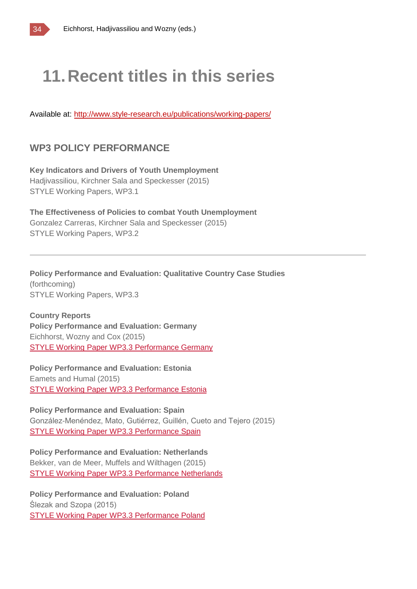

# **11.Recent titles in this series**

Available at:<http://www.style-research.eu/publications/working-papers/>

### **WP3 POLICY PERFORMANCE**

**Key Indicators and Drivers of Youth Unemployment** Hadjivassiliou, Kirchner Sala and Speckesser (2015) STYLE Working Papers, WP3.1

**The Effectiveness of Policies to combat Youth Unemployment** Gonzalez Carreras, Kirchner Sala and Speckesser (2015) STYLE Working Papers, WP3.2

**Policy Performance and Evaluation: Qualitative Country Case Studies** (forthcoming) STYLE Working Papers, WP3.3

**Country Reports Policy Performance and Evaluation: Germany** Eichhorst, Wozny and Cox (2015) STYLE Working Paper WP3.3 [Performance](http://www.style-research.eu/wordpress/wp-content/uploads/2015/03/STYLE-Working-Paper-WP3.3-Performance-Germany.pdf) Germany

**Policy Performance and Evaluation: Estonia** Eamets and Humal (2015) STYLE Working Paper WP3.3 [Performance](http://www.style-research.eu/wordpress/wp-content/uploads/2015/03/STYLE-Working-Paper-WP3.3-Performance-Estonia.pdf) Estonia

**Policy Performance and Evaluation: Spain** González-Menéndez, Mato, Gutiérrez, Guillén, Cueto and Tejero (2015) STYLE Working Paper WP3.3 [Performance](http://www.style-research.eu/wordpress/wp-content/uploads/2015/03/STYLE-Working-Paper-WP3.3-Performance-Spain.pdf) Spain

**Policy Performance and Evaluation: Netherlands** Bekker, van de Meer, Muffels and Wilthagen (2015) STYLE Working Paper WP3.3 [Performance](http://www.style-research.eu/wordpress/wp-content/uploads/2015/03/STYLE-Working-Paper-WP3.3-Performance-Netherlands.docx) Netherlands

**Policy Performance and Evaluation: Poland** Ślezak and Szopa (2015) STYLE Working Paper WP3.3 [Performance](http://www.style-research.eu/wordpress/wp-content/uploads/2015/03/STYLE-Working-Paper-WP3.3-Performance-Poland.docx) Poland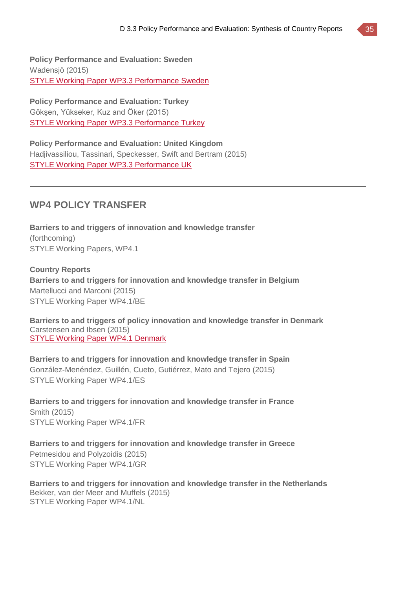**Policy Performance and Evaluation: Sweden** Wadensjö (2015) STYLE Working Paper WP3.3 [Performance](http://www.style-research.eu/wordpress/wp-content/uploads/2015/03/STYLE-Working-Paper-WP3.3-Performance-Sweden.pdf) Sweden

**Policy Performance and Evaluation: Turkey** Gökşen, Yükseker, Kuz and Öker (2015) STYLE Working Paper WP3.3 [Performance](http://www.style-research.eu/wordpress/wp-content/uploads/2015/03/STYLE-Working-Paper-WP3.3-Performance-Turkey-.docx) Turkey

**Policy Performance and Evaluation: United Kingdom** Hadjivassiliou, Tassinari, Speckesser, Swift and Bertram (2015) STYLE Working Paper WP3.3 [Performance](http://www.style-research.eu/wordpress/wp-content/uploads/2015/03/STYLE-Working-Paper-WP3.3-Performance-UK.pdf) UK

#### **WP4 POLICY TRANSFER**

**Barriers to and triggers of innovation and knowledge transfer** (forthcoming) STYLE Working Papers, WP4.1

**Country Reports Barriers to and triggers for innovation and knowledge transfer in Belgium** Martellucci and Marconi (2015) STYLE Working Paper WP4.1/BE

**Barriers to and triggers of policy innovation and knowledge transfer in Denmark** Carstensen and Ibsen (2015) STYLE Working Paper WP4.1 [Denmark](http://www.style-research.eu/wordpress/wp-content/uploads/2015/03/STYLE-Working-Paper-WP4.1-Denmark.pdf)

**Barriers to and triggers for innovation and knowledge transfer in Spain** González-Menéndez, Guillén, Cueto, Gutiérrez, Mato and Tejero (2015) STYLE Working Paper WP4.1/ES

**Barriers to and triggers for innovation and knowledge transfer in France** Smith (2015) STYLE Working Paper WP4.1/FR

**Barriers to and triggers for innovation and knowledge transfer in Greece** Petmesidou and Polyzoidis (2015) STYLE Working Paper WP4.1/GR

**Barriers to and triggers for innovation and knowledge transfer in the Netherlands** Bekker, van der Meer and Muffels (2015) STYLE Working Paper WP4.1/NL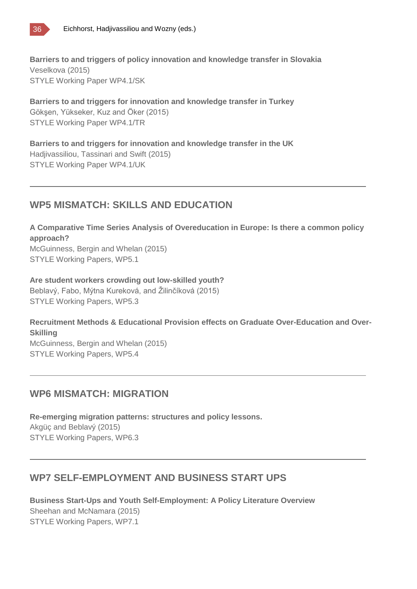

**Barriers to and triggers of policy innovation and knowledge transfer in Slovakia** Veselkova (2015) STYLE Working Paper WP4.1/SK

**Barriers to and triggers for innovation and knowledge transfer in Turkey** Gökşen, Yükseker, Kuz and Öker (2015) STYLE Working Paper WP4.1/TR

**Barriers to and triggers for innovation and knowledge transfer in the UK** Hadjivassiliou, Tassinari and Swift (2015) STYLE Working Paper WP4.1/UK

#### **WP5 MISMATCH: SKILLS AND EDUCATION**

**A Comparative Time Series Analysis of Overeducation in Europe: Is there a common policy approach?** McGuinness, Bergin and Whelan (2015)

STYLE Working Papers, WP5.1

**Are student workers crowding out low-skilled youth?** Beblavý, Fabo, Mýtna Kureková, and Žilinčíková (2015) STYLE Working Papers, WP5.3

**Recruitment Methods & Educational Provision effects on Graduate Over-Education and Over-Skilling** McGuinness, Bergin and Whelan (2015) STYLE Working Papers, WP5.4

#### **WP6 MISMATCH: MIGRATION**

**Re-emerging migration patterns: structures and policy lessons.** Akgüç and Beblavý (2015) STYLE Working Papers, WP6.3

### **WP7 SELF-EMPLOYMENT AND BUSINESS START UPS**

**Business Start-Ups and Youth Self-Employment: A Policy Literature Overview** Sheehan and McNamara (2015) STYLE Working Papers, WP7.1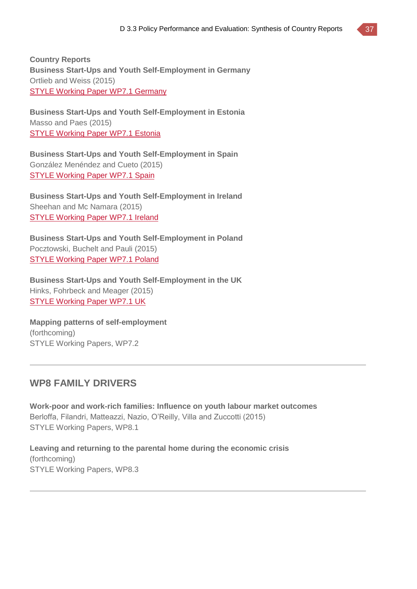**Country Reports Business Start-Ups and Youth Self-Employment in Germany** Ortlieb and Weiss (2015) STYLE Working Paper WP7.1 [Germany](http://www.style-research.eu/wordpress/wp-content/uploads/2015/03/STYLE-Working-Paper-WP7.1-Germany-.pdf)

**Business Start-Ups and Youth Self-Employment in Estonia** Masso and Paes (2015) STYLE [Working](http://www.style-research.eu/wordpress/wp-content/uploads/2015/03/STYLE-Working-Paper-WP7.1-Estonia-.pdf) Paper WP7.1 Estonia

**Business Start-Ups and Youth Self-Employment in Spain** González Menéndez and Cueto (2015) STYLE [Working](http://www.style-research.eu/wordpress/wp-content/uploads/2015/03/STYLE-Working-Paper-WP7.1-Spain.pdf) Paper WP7.1 Spain

**Business Start-Ups and Youth Self-Employment in Ireland** Sheehan and Mc Namara (2015) STYLE [Working](http://www.style-research.eu/wordpress/wp-content/uploads/2015/03/STYLE-Working-Paper-WP7.1-Ireland.docx) Paper WP7.1 Ireland

**Business Start-Ups and Youth Self-Employment in Poland** Pocztowski, Buchelt and Pauli (2015) STYLE [Working](http://www.style-research.eu/wordpress/wp-content/uploads/2015/03/STYLE-Working-Paper-WP7.1-Poland-.pdf) Paper WP7.1 Poland

**Business Start-Ups and Youth Self-Employment in the UK** Hinks, Fohrbeck and Meager (2015) STYLE [Working](http://www.style-research.eu/wordpress/wp-content/uploads/2015/03/STYLE-Working-Paper-WP7.1-UK.pdf) Paper WP7.1 UK

**Mapping patterns of self-employment** (forthcoming) STYLE Working Papers, WP7.2

#### **WP8 FAMILY DRIVERS**

**Work-poor and work-rich families: Influence on youth labour market outcomes** Berloffa, Filandri, Matteazzi, Nazio, O'Reilly, Villa and Zuccotti (2015) STYLE Working Papers, WP8.1

**Leaving and returning to the parental home during the economic crisis** (forthcoming) STYLE Working Papers, WP8.3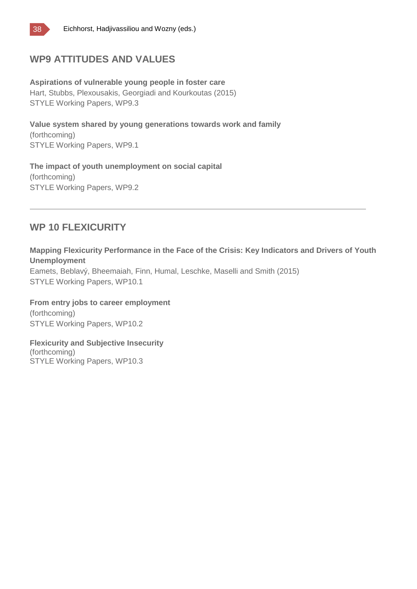

#### **WP9 ATTITUDES AND VALUES**

**Aspirations of vulnerable young people in foster care** Hart, Stubbs, Plexousakis, Georgiadi and Kourkoutas (2015) STYLE Working Papers, WP9.3

**Value system shared by young generations towards work and family** (forthcoming) STYLE Working Papers, WP9.1

**The impact of youth unemployment on social capital** (forthcoming) STYLE Working Papers, WP9.2

#### **WP 10 FLEXICURITY**

**Mapping Flexicurity Performance in the Face of the Crisis: Key Indicators and Drivers of Youth Unemployment**

Eamets, Beblavý, Bheemaiah, Finn, Humal, Leschke, Maselli and Smith (2015) STYLE Working Papers, WP10.1

**From entry jobs to career employment** (forthcoming) STYLE Working Papers, WP10.2

**Flexicurity and Subjective Insecurity**

(forthcoming) STYLE Working Papers, WP10.3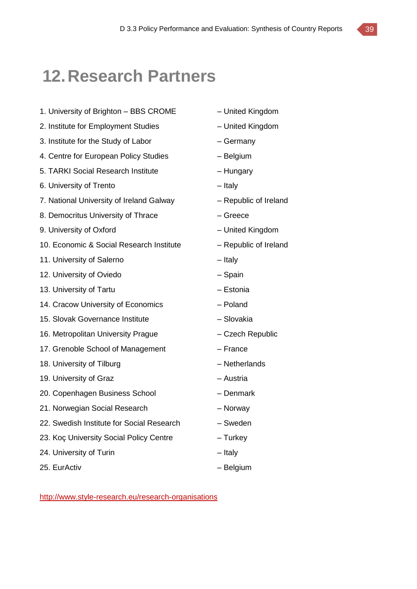### **12.Research Partners**

- 1. University of Brighton BBS CROME United Kingdom
- 2. Institute for Employment Studies United Kingdom
- 3. Institute for the Study of Labor Germany
- 4. Centre for European Policy Studies Belgium
- 5. TARKI Social Research Institute Hungary
- 6. University of Trento Italy
- 7. National University of Ireland Galway Republic of Ireland
- 8. Democritus University of Thrace Figure Greece
- 9. University of Oxford United Kingdom
- 10. Economic & Social Research Institute Republic of Ireland
- 11. University of Salerno **Fig. 2018** Italy
- 12. University of Oviedo Spain
- 13. University of Tartu **Facture 13. University of Tartu Facture 13. In the Latin America**  $-$  Estonia
- 14. Cracow University of Economics Poland
- 15. Slovak Governance Institute Slovakia
- 16. Metropolitan University Prague Czech Republic
- 17. Grenoble School of Management France
- 18. University of Tilburg **Exercise 18. University of Tilburg Contract 18. University of Tilburg**
- 19. University of Graz **Face Contract Contract Contract Austria** Austria
- 20. Copenhagen Business School Denmark
- 21. Norwegian Social Research Norway
- 22. Swedish Institute for Social Research Sweden
- 23. Koç University Social Policy Centre Turkey
- 24. University of Turin The University of Turin Italy
- 25. EurActiv Contractive Belgium
- 
- 
- 
- 
- 
- 
- 
- 
- 
- 
- 
- 
- 
- 
- 
- 
- 
- 
- 
- 
- 
- 
- 
- 
- 

<http://www.style-research.eu/research-organisations>